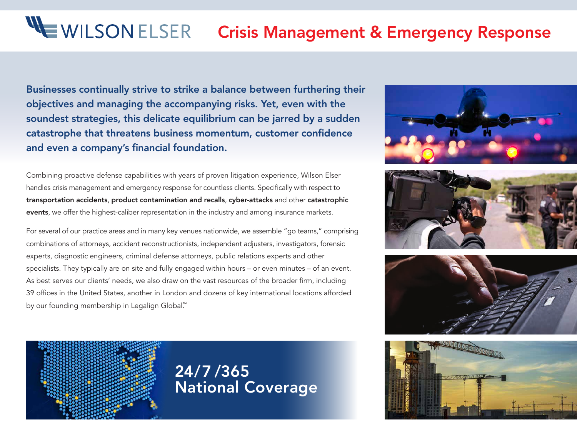# <span id="page-0-0"></span> WEWILSONELSER Crisis Management & Emergency Response

Businesses continually strive to strike a balance between furthering their objectives and managing the accompanying risks. Yet, even with the soundest strategies, this delicate equilibrium can be jarred by a sudden catastrophe that threatens business momentum, customer confidence and even a company's financial foundation.

Combining proactive defense capabilities with years of proven litigation experience, Wilson Elser handles crisis management and emergency response for countless clients. Specifically with respect to transportation accidents, product contamination and recalls, cyber-attacks and other catastrophic events, we offer the highest-caliber representation in the industry and among insurance markets.

For several of our practice areas and in many key venues nationwide, we assemble "go teams," comprising combinations of attorneys, accident reconstructionists, independent adjusters, investigators, forensic experts, diagnostic engineers, criminal defense attorneys, public relations experts and other specialists. They typically are on site and fully engaged within hours – or even minutes – of an event. As best serves our clients' needs, we also draw on the vast resources of the broader firm, including 39 offices in the United States, another in London and dozens of key international locations afforded by our founding membership in Legalign Global<sup>™</sup>









24/7 /365 National Coverage

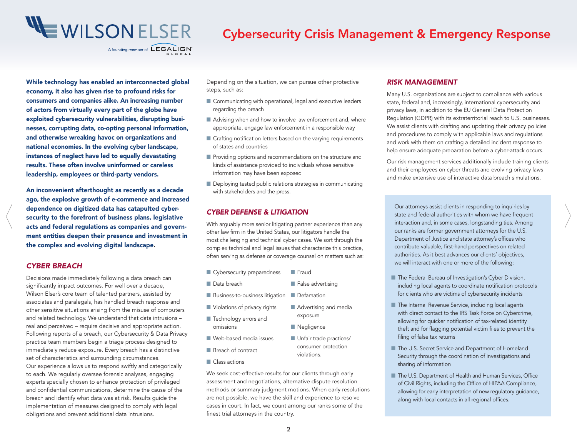<span id="page-1-0"></span>

# Cybersecurity Crisis Management & Emergency Response

While technology has enabled an interconnected global economy, it also has given rise to profound risks for consumers and companies alike. An increasing number of actors from virtually every part of the globe have exploited cybersecurity vulnerabilities, disrupting businesses, corrupting data, co-opting personal information, and otherwise wreaking havoc on organizations and national economies. In the evolving cyber landscape, instances of neglect have led to equally devastating results. These often involve uninformed or careless leadership, employees or third-party vendors.

acts and federal regulations as companies and govern-[<](#page-0-0)br[>](#page-2-0)acts and federal regulations as companies and govern-<br>
other law firm in the United States, our litigators handle the sour ranks are former government attorneys for th An inconvenient afterthought as recently as a decade ago, the explosive growth of e-commence and increased dependence on digitized data has catapulted cybersecurity to the forefront of business plans, legislative ment entities deepen their presence and investment in the complex and evolving digital landscape.

#### *CYBER BREACH*

Decisions made immediately following a data breach can significantly impact outcomes. For well over a decade, Wilson Elser's core team of talented partners, assisted by associates and paralegals, has handled breach response and other sensitive situations arising from the misuse of computers and related technology. We understand that data intrusions – real and perceived – require decisive and appropriate action. Following reports of a breach, our Cybersecurity & Data Privacy practice team members begin a triage process designed to immediately reduce exposure. Every breach has a distinctive set of characteristics and surrounding circumstances. Our experience allows us to respond swiftly and categorically to each. We regularly oversee forensic analyses, engaging experts specially chosen to enhance protection of privileged and confidential communications, determine the cause of the breach and identify what data was at risk. Results guide the implementation of measures designed to comply with legal obligations and prevent additional data intrusions.

Depending on the situation, we can pursue other protective steps, such as:

- Communicating with operational, legal and executive leaders regarding the breach
- Advising when and how to involve law enforcement and, where appropriate, engage law enforcement in a responsible way
- Crafting notification letters based on the varying requirements of states and countries
- Providing options and recommendations on the structure and kinds of assistance provided to individuals whose sensitive information may have been exposed
- Deploying tested public relations strategies in communicating with stakeholders and the press.

#### *CYBER DEFENSE & LITIGATION*

With arguably more senior litigating partner experience than any other law firm in the United States, our litigators handle the most challenging and technical cyber cases. We sort through the complex technical and legal issues that characterize this practice, often serving as defense or coverage counsel on matters such as:

- Cybersecurity preparedness ■ Fraud
- Data breach
	-
- Business-to-business litigation Defamation
- Violations of privacy rights ■ Technology errors and ■ Advertising and media exposure
	- Negligence

violations.

■ Unfair trade practices/ consumer protection

- Web-based media issues
- Breach of contract
- Class actions

omissions

We seek cost-effective results for our clients through early assessment and negotiations, alternative dispute resolution methods or summary judgment motions. When early resolutions are not possible, we have the skill and experience to resolve cases in court. In fact, we count among our ranks some of the finest trial attorneys in the country.

#### *RISK MANAGEMENT*

Many U.S. organizations are subject to compliance with various state, federal and, increasingly, international cybersecurity and privacy laws, in addition to the EU General Data Protection Regulation (GDPR) with its extraterritorial reach to U.S. businesses. We assist clients with drafting and updating their privacy policies and procedures to comply with applicable laws and regulations and work with them on crafting a detailed incident response to help ensure adequate preparation before a cyber-attack occurs.

Our risk management services additionally include training clients and their employees on cyber threats and evolving privacy laws and make extensive use of interactive data breach simulations.

Our attorneys assist clients in responding to inquiries by state and federal authorities with whom we have frequent interaction and, in some cases, longstanding ties. Among our ranks are former government attorneys for the U.S. Department of Justice and state attorney's offices who contribute valuable, first-hand perspectives on related authorities. As it best advances our clients' objectives, we will interact with one or more of the following:

- The Federal Bureau of Investigation's Cyber Division, including local agents to coordinate notification protocols for clients who are victims of cybersecurity incidents
- The Internal Revenue Service, including local agents with direct contact to the IRS Task Force on Cybercrime, allowing for quicker notification of tax-related identity theft and for flagging potential victim files to prevent the filing of false tax returns
- The U.S. Secret Service and Department of Homeland Security through the coordination of investigations and sharing of information
- The U.S. Department of Health and Human Services, Office of Civil Rights, including the Office of HIPAA Compliance, allowing for early interpretation of new regulatory guidance, along with local contacts in all regional offices.
- False advertising
-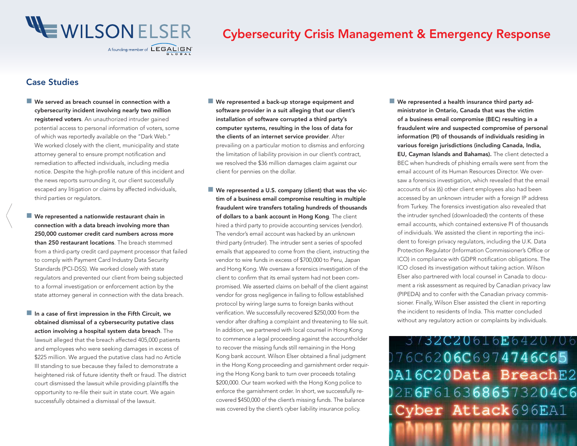<span id="page-2-0"></span>

# Cybersecurity Crisis Management & Emergency Response

## Case Studies

 $\overline{\phantom{a}}$ 

- We served as breach counsel in connection with a cybersecurity incident involving nearly two million registered voters. An unauthorized intruder gained potential access to personal information of voters, some of which was reportedly available on the "Dark Web." We worked closely with the client, municipality and state attorney general to ensure prompt notification and remediation to affected individuals, including media notice. Despite the high-profile nature of this incident and the news reports surrounding it, our client successfully escaped any litigation or claims by affected individuals, third parties or regulators.
- We represented a nationwide restaurant chain in connection with a data breach involving more than 250,000 customer credit card numbers across more than 250 restaurant locations. The breach stemmed from a third-party credit card payment processor that failed to comply with Payment Card Industry Data Security Standards (PCI-DSS). We worked closely with state regulators and prevented our client from being subjected to a formal investigation or enforcement action by the state attorney general in connection with the data breach.
- $\blacksquare$  In a case of first impression in the Fifth Circuit, we obtained dismissal of a cybersecurity putative class action involving a hospital system data breach. The lawsuit alleged that the breach affected 405,000 patients and employees who were seeking damages in excess of \$225 million. We arqued the putative class had no Article III standing to sue because they failed to demonstrate a heightened risk of future identity theft or fraud. The district court dismissed the lawsuit while providing plaintiffs the opportunity to re-file their suit in state court. We again successfully obtained a dismissal of the lawsuit.
- We represented a back-up storage equipment and software provider in a suit alleging that our client's installation of software corrupted a third party's computer systems, resulting in the loss of data for the clients of an internet service provider. After prevailing on a particular motion to dismiss and enforcing the limitation of liability provision in our client's contract, we resolved the \$36 million damages claim against our client for pennies on the dollar.
- We represented a U.S. company (client) that was the victim of a business email compromise resulting in multiple fraudulent wire transfers totaling hundreds of thousands of dollars to a bank account in Hong Kong. The client hired a third party to provide accounting services (vendor). The vendor's email account was hacked by an unknown third party (intruder). The intruder sent a series of spoofed emails that appeared to come from the client, instructing the vendor to wire funds in excess of \$700,000 to Peru, Japan and Hong Kong. We oversaw a forensics investigation of the client to confirm that its email system had not been compromised. We asserted claims on behalf of the client against vendor for gross negligence in failing to follow established protocol by wiring large sums to foreign banks without verification. We successfully recovered \$250,000 from the vendor after drafting a complaint and threatening to file suit. In addition, we partnered with local counsel in Hong Kong to commence a legal proceeding against the accountholder to recover the missing funds still remaining in the Hong Kong bank account. Wilson Elser obtained a final judgment in the Hong Kong proceeding and garnishment order requiring the Hong Kong bank to turn over proceeds totaling \$200,000. Our team worked with the Hong Kong police to enforce the garnishment order. In short, we successfully recovered \$450,000 of the client's missing funds. The balance was covered by the client's cyber liability insurance policy.
- We represented a health insurance third party administrator in Ontario, Canada that was the victim of a business email compromise (BEC) resulting in a fraudulent wire and suspected compromise of personal information (PI) of thousands of individuals residing in various foreign jurisdictions (including Canada, India, EU, Cayman Islands and Bahamas). The client detected a BEC when hundreds of phishing emails were sent from the email account of its Human Resources Director. We oversaw a forensics investigation, which revealed that the email accounts of six (6) other client employees also had been accessed by an unknown intruder with a foreign IP address from Turkey. The forensics investigation also revealed that the intruder synched (downloaded) the contents of these email accounts, which contained extensive PI of thousands of individuals. We assisted the client in reporting the incident to foreign privacy regulators, including the U.K. Data Protection Regulator (Information Commissioner's Office or ICO) in compliance with GDPR notification obligations. The ICO closed its investigation without taking action. Wilson Elser also partnered with local counsel in Canada to document a risk assessment as required by Canadian privacy law (PIPEDA) and to confer with the Canadian privacy commissioner. Finally, Wilson Elser assisted the client in reporting the incident to residents of India. This matter concluded without any regulatory action or complaints by individuals.

3732C20616E6420706 076C6206C6974746C65 A16C20Data BreachE2 02E6F6163686573204C6 Cyber Attack696EA1